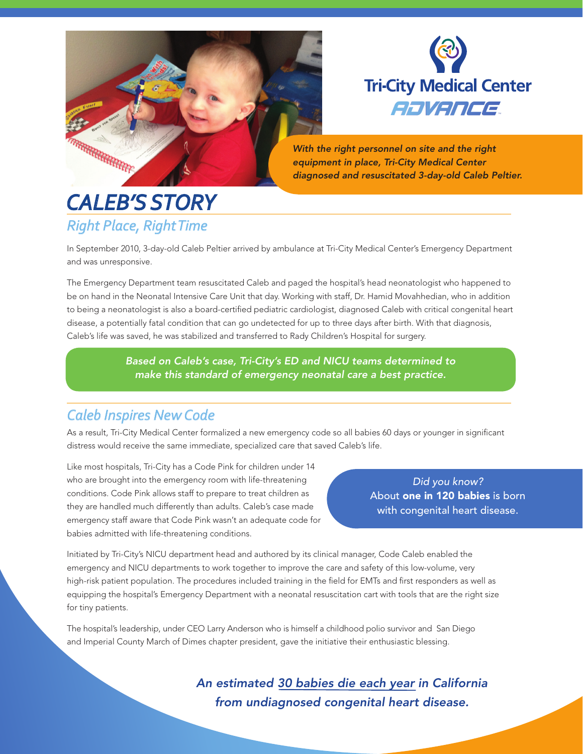



*With the right personnel on site and the right equipment in place, Tri-City Medical Center diagnosed and resuscitated 3-day-old Caleb Peltier.*

## *Right Place, Right Time CALEB'S STORY*

In September 2010, 3-day-old Caleb Peltier arrived by ambulance at Tri-City Medical Center's Emergency Department and was unresponsive.

The Emergency Department team resuscitated Caleb and paged the hospital's head neonatologist who happened to be on hand in the Neonatal Intensive Care Unit that day. Working with staff, Dr. Hamid Movahhedian, who in addition to being a neonatologist is also a board-certified pediatric cardiologist, diagnosed Caleb with critical congenital heart disease, a potentially fatal condition that can go undetected for up to three days after birth. With that diagnosis, Caleb's life was saved, he was stabilized and transferred to Rady Children's Hospital for surgery.

> *Based on Caleb's case, Tri-City's ED and NICU teams determined to make this standard of emergency neonatal care a best practice.*

## *Caleb Inspires New Code*

As a result, Tri-City Medical Center formalized a new emergency code so all babies 60 days or younger in significant distress would receive the same immediate, specialized care that saved Caleb's life.

Like most hospitals, Tri-City has a Code Pink for children under 14 who are brought into the emergency room with life-threatening conditions. Code Pink allows staff to prepare to treat children as they are handled much differently than adults. Caleb's case made emergency staff aware that Code Pink wasn't an adequate code for babies admitted with life-threatening conditions.

*Did you know?*  About one in 120 babies is born with congenital heart disease.

Initiated by Tri-City's NICU department head and authored by its clinical manager, Code Caleb enabled the emergency and NICU departments to work together to improve the care and safety of this low-volume, very high-risk patient population. The procedures included training in the field for EMTs and first responders as well as equipping the hospital's Emergency Department with a neonatal resuscitation cart with tools that are the right size for tiny patients.

The hospital's leadership, under CEO Larry Anderson who is himself a childhood polio survivor and San Diego and Imperial County March of Dimes chapter president, gave the initiative their enthusiastic blessing.

> *An estimated 30 babies die each year in California from undiagnosed congenital heart disease.*